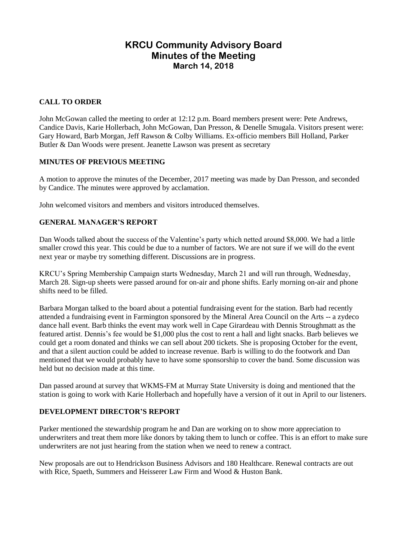# **KRCU Community Advisory Board Minutes of the Meeting March 14, 2018**

# **CALL TO ORDER**

John McGowan called the meeting to order at 12:12 p.m. Board members present were: Pete Andrews, Candice Davis, Karie Hollerbach, John McGowan, Dan Presson, & Denelle Smugala. Visitors present were: Gary Howard, Barb Morgan, Jeff Rawson & Colby Williams. Ex-officio members Bill Holland, Parker Butler & Dan Woods were present. Jeanette Lawson was present as secretary

#### **MINUTES OF PREVIOUS MEETING**

A motion to approve the minutes of the December, 2017 meeting was made by Dan Presson, and seconded by Candice. The minutes were approved by acclamation.

John welcomed visitors and members and visitors introduced themselves.

### **GENERAL MANAGER'S REPORT**

Dan Woods talked about the success of the Valentine's party which netted around \$8,000. We had a little smaller crowd this year. This could be due to a number of factors. We are not sure if we will do the event next year or maybe try something different. Discussions are in progress.

KRCU's Spring Membership Campaign starts Wednesday, March 21 and will run through, Wednesday, March 28. Sign-up sheets were passed around for on-air and phone shifts. Early morning on-air and phone shifts need to be filled.

Barbara Morgan talked to the board about a potential fundraising event for the station. Barb had recently attended a fundraising event in Farmington sponsored by the Mineral Area Council on the Arts -- a zydeco dance hall event. Barb thinks the event may work well in Cape Girardeau with Dennis Stroughmatt as the featured artist. Dennis's fee would be \$1,000 plus the cost to rent a hall and light snacks. Barb believes we could get a room donated and thinks we can sell about 200 tickets. She is proposing October for the event, and that a silent auction could be added to increase revenue. Barb is willing to do the footwork and Dan mentioned that we would probably have to have some sponsorship to cover the band. Some discussion was held but no decision made at this time.

Dan passed around at survey that WKMS-FM at Murray State University is doing and mentioned that the station is going to work with Karie Hollerbach and hopefully have a version of it out in April to our listeners.

### **DEVELOPMENT DIRECTOR'S REPORT**

Parker mentioned the stewardship program he and Dan are working on to show more appreciation to underwriters and treat them more like donors by taking them to lunch or coffee. This is an effort to make sure underwriters are not just hearing from the station when we need to renew a contract.

New proposals are out to Hendrickson Business Advisors and 180 Healthcare. Renewal contracts are out with Rice, Spaeth, Summers and Heisserer Law Firm and Wood & Huston Bank.